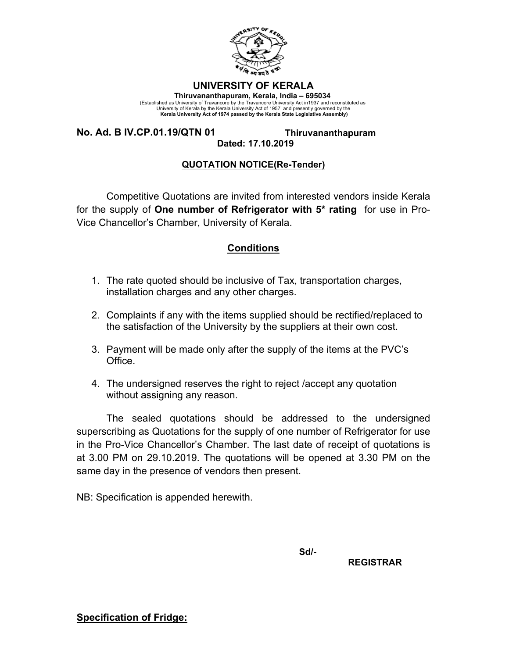

#### **UNIVERSITY OF KERALA**

**Thiruvananthapuram, Kerala, India – 695034**  (Established as University of Travancore by the Travancore University Act in1937 and reconstituted as<br>University of Kerala by the Kerala University Act of 1957 and presently governed by the<br>Kerala University Act of 1974 pa

**No. Ad. B IV.CP.01.19/QTN 01 Thiruvananthapuram** 

# **Dated: 17.10.2019**

### **QUOTATION NOTICE(Re-Tender)**

Competitive Quotations are invited from interested vendors inside Kerala for the supply of **One number of Refrigerator with 5\* rating** for use in Pro-Vice Chancellor's Chamber, University of Kerala.

## **Conditions**

- 1. The rate quoted should be inclusive of Tax, transportation charges, installation charges and any other charges.
- 2. Complaints if any with the items supplied should be rectified/replaced to the satisfaction of the University by the suppliers at their own cost.
- 3. Payment will be made only after the supply of the items at the PVC's Office.
- 4. The undersigned reserves the right to reject /accept any quotation without assigning any reason.

The sealed quotations should be addressed to the undersigned superscribing as Quotations for the supply of one number of Refrigerator for use in the Pro-Vice Chancellor's Chamber. The last date of receipt of quotations is at 3.00 PM on 29.10.2019. The quotations will be opened at 3.30 PM on the same day in the presence of vendors then present.

NB: Specification is appended herewith.

**Sd/-**  $\mathsf{Sd}$ 

 **REGISTRAR** 

**Specification of Fridge:**